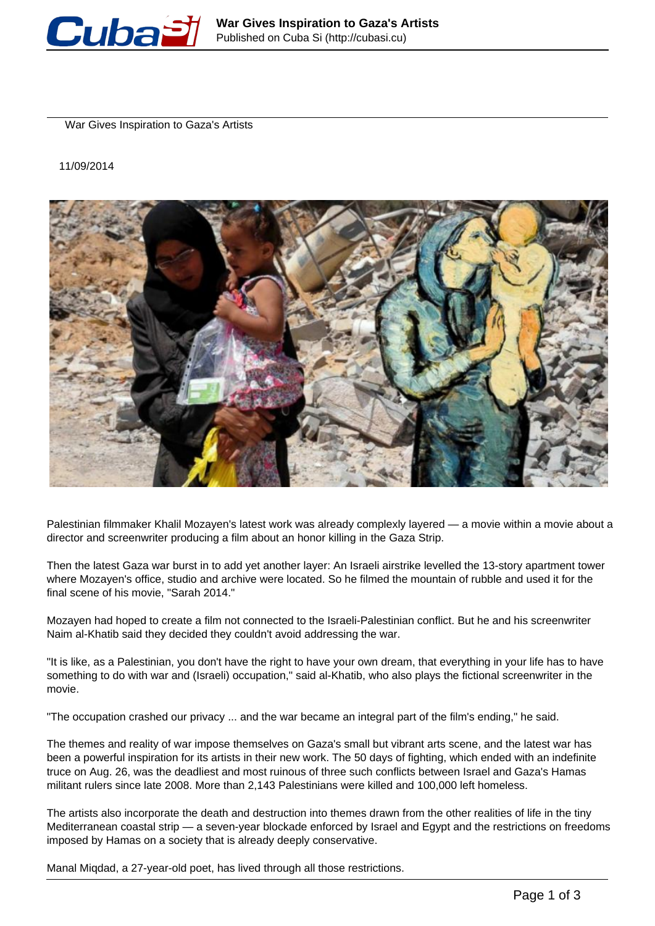

War Gives Inspiration to Gaza's Artists

11/09/2014



Palestinian filmmaker Khalil Mozayen's latest work was already complexly layered — a movie within a movie about a director and screenwriter producing a film about an honor killing in the Gaza Strip.

Then the latest Gaza war burst in to add yet another layer: An Israeli airstrike levelled the 13-story apartment tower where Mozayen's office, studio and archive were located. So he filmed the mountain of rubble and used it for the final scene of his movie, "Sarah 2014."

Mozayen had hoped to create a film not connected to the Israeli-Palestinian conflict. But he and his screenwriter Naim al-Khatib said they decided they couldn't avoid addressing the war.

"It is like, as a Palestinian, you don't have the right to have your own dream, that everything in your life has to have something to do with war and (Israeli) occupation," said al-Khatib, who also plays the fictional screenwriter in the movie.

"The occupation crashed our privacy ... and the war became an integral part of the film's ending," he said.

The themes and reality of war impose themselves on Gaza's small but vibrant arts scene, and the latest war has been a powerful inspiration for its artists in their new work. The 50 days of fighting, which ended with an indefinite truce on Aug. 26, was the deadliest and most ruinous of three such conflicts between Israel and Gaza's Hamas militant rulers since late 2008. More than 2,143 Palestinians were killed and 100,000 left homeless.

The artists also incorporate the death and destruction into themes drawn from the other realities of life in the tiny Mediterranean coastal strip — a seven-year blockade enforced by Israel and Egypt and the restrictions on freedoms imposed by Hamas on a society that is already deeply conservative.

Manal Miqdad, a 27-year-old poet, has lived through all those restrictions.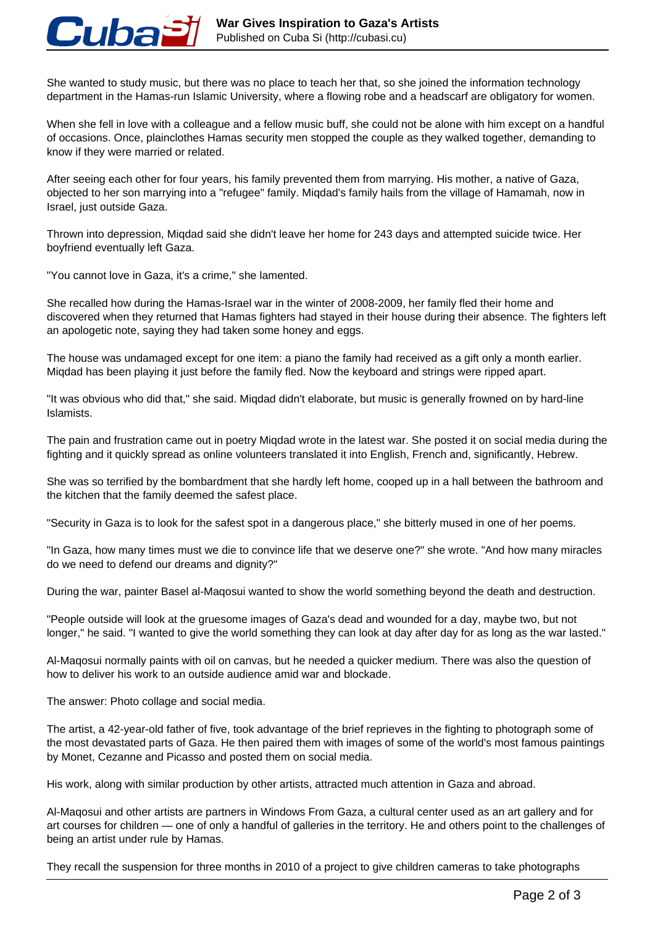

She wanted to study music, but there was no place to teach her that, so she joined the information technology department in the Hamas-run Islamic University, where a flowing robe and a headscarf are obligatory for women.

When she fell in love with a colleague and a fellow music buff, she could not be alone with him except on a handful of occasions. Once, plainclothes Hamas security men stopped the couple as they walked together, demanding to know if they were married or related.

After seeing each other for four years, his family prevented them from marrying. His mother, a native of Gaza, objected to her son marrying into a "refugee" family. Miqdad's family hails from the village of Hamamah, now in Israel, just outside Gaza.

Thrown into depression, Miqdad said she didn't leave her home for 243 days and attempted suicide twice. Her boyfriend eventually left Gaza.

"You cannot love in Gaza, it's a crime," she lamented.

She recalled how during the Hamas-Israel war in the winter of 2008-2009, her family fled their home and discovered when they returned that Hamas fighters had stayed in their house during their absence. The fighters left an apologetic note, saying they had taken some honey and eggs.

The house was undamaged except for one item: a piano the family had received as a gift only a month earlier. Miqdad has been playing it just before the family fled. Now the keyboard and strings were ripped apart.

"It was obvious who did that," she said. Miqdad didn't elaborate, but music is generally frowned on by hard-line Islamists.

The pain and frustration came out in poetry Miqdad wrote in the latest war. She posted it on social media during the fighting and it quickly spread as online volunteers translated it into English, French and, significantly, Hebrew.

She was so terrified by the bombardment that she hardly left home, cooped up in a hall between the bathroom and the kitchen that the family deemed the safest place.

"Security in Gaza is to look for the safest spot in a dangerous place," she bitterly mused in one of her poems.

"In Gaza, how many times must we die to convince life that we deserve one?" she wrote. "And how many miracles do we need to defend our dreams and dignity?"

During the war, painter Basel al-Maqosui wanted to show the world something beyond the death and destruction.

"People outside will look at the gruesome images of Gaza's dead and wounded for a day, maybe two, but not longer," he said. "I wanted to give the world something they can look at day after day for as long as the war lasted."

Al-Maqosui normally paints with oil on canvas, but he needed a quicker medium. There was also the question of how to deliver his work to an outside audience amid war and blockade.

The answer: Photo collage and social media.

The artist, a 42-year-old father of five, took advantage of the brief reprieves in the fighting to photograph some of the most devastated parts of Gaza. He then paired them with images of some of the world's most famous paintings by Monet, Cezanne and Picasso and posted them on social media.

His work, along with similar production by other artists, attracted much attention in Gaza and abroad.

Al-Maqosui and other artists are partners in Windows From Gaza, a cultural center used as an art gallery and for art courses for children — one of only a handful of galleries in the territory. He and others point to the challenges of being an artist under rule by Hamas.

They recall the suspension for three months in 2010 of a project to give children cameras to take photographs